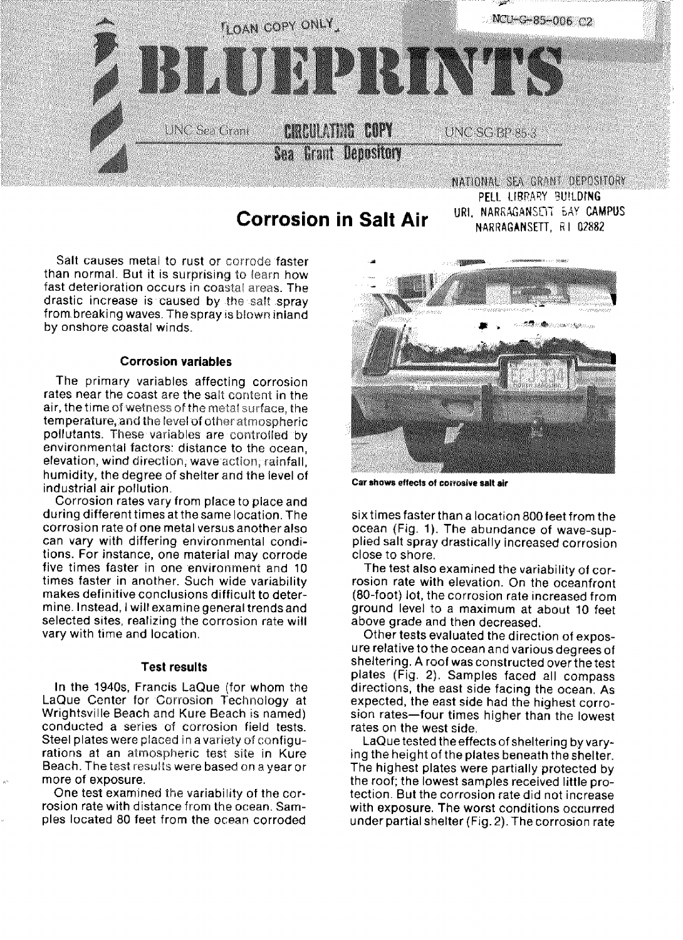

PELL LIBRARY BUILDING **Corrosion in Salt Air URI, NARRAGANSETT, RI 02882** 

Salt causes metal to rust or corrode faster than normal. But it is surprising to learn how fast deterioration occurs in coastal areas. The drastic increase is caused by the salt spray from breaking waves. The spray is blown inland by onshore coastal winds.

## **Corrosion variables**

The primary variables affecting corrosion rates near the coast are the salt content in the air, the time of wetness of the metal surface, the temperature, and the level of other atmospheric pollutants. These variables are controlled by environmental factors: distance to the ocean, elevation, wind direction, wave action, rainfall, humidity, the degree of shelter and the ievel of industrial air pollution.

Corrosion rates vary from place to place and during different times at the same location. The corrosion rate of one metal versus another also can vary with differing environmental conditions, For instance, one material may corrode five times faster in one environment and 10 times faster in another. Such wide variability makes definitive conclusions difficult to determine. Instead, I will examine general trends and selected sites, realizing the corrosion rate will vary with time and location.

### **Test results**

In the 1940s, Francis LaQue (for whom the LaQue Center for Corrosion Technology at Wrightsville Beach and Kure Beach is named) conducted a series of corrosion field tests. Steel plates were placed in a variety of configurations at an atmospheric test site in Kure Beach. The test results were based on a year or more of exposure.

One test examined the variability of the corrosion rate with distance from the ocean, Samples located 80 feet from the ocean corroded



**Car shows effects of corrosive salt air**

six times faster than a location 800 feet from the ocean (Fig. 1). The abundance of wave-supplied salt spray drastically increased corrosion close to shore.

The test also examined the variability of corrosion rate with elevation. On the oceanfront (80-foot) lot, the corrosion rate increased from ground level to a maximum at about 10 feet above grade and then decreased.

Other tests evaluated the direction of exposure relative to the ocean and various degrees of sheltering. A roof was constructed over the test plates (Fig. 2). Samples faced all compass directions, the east side facing the ocean. As expected, the east side had the highest corrosion rates-four times higher than the lowest rates on the west side.

LaQ ue tested the effects of sheltering by varying the height of the plates beneath the shelter. The highest plates were partially protected by the roof; the lowest samples received little protection, But the corrosion rate did not increase with exposure. The worst conditions occurred under partial shelter (Fig. 2). The corrosion rate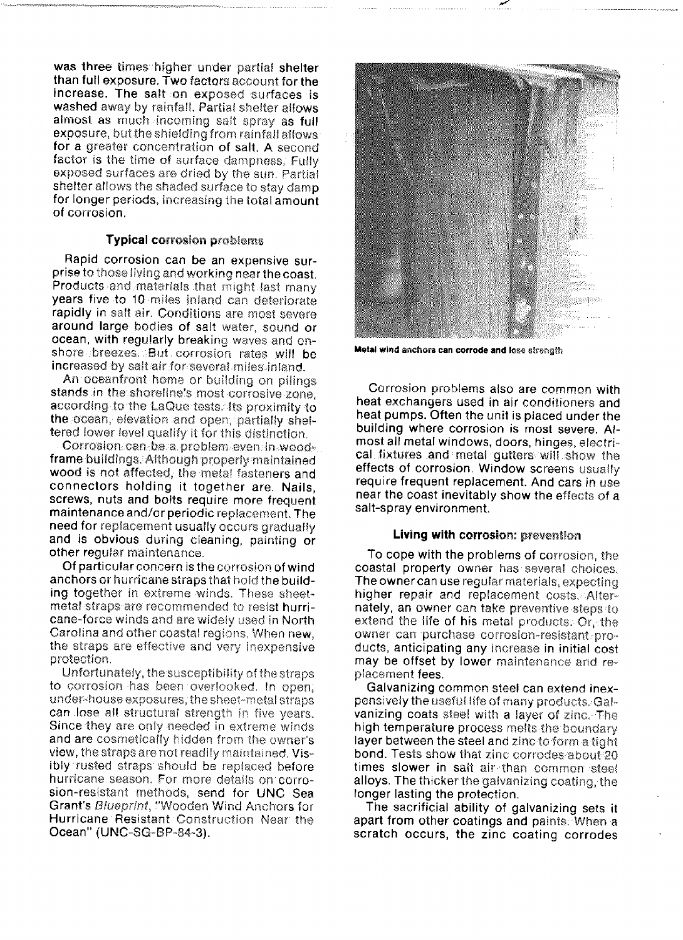was three times higher under partial shelter than full exposure. Two factors account for the increase. The salt on exposed surfaces is washed away by rainfall. Partial shelter allows almost as much incoming salt spray as full exposure, but the shielding from rainfall allows for a greater concentration of salt. A second factor is the time of surface dampness, Fully exposed surfaces are dried by the sun, Partial shelter allows the shaded surface to stay damp for longer periods, increasing the total amount of corrosion.

### **Typical** corrosion problems

Rapid corrosion can be an expensive surprise to those living and working near the coast. Products and materials that might last many years five to 10 miles inland can deteriorate rapidly in salt air. Conditions are most severe around large bodies of salt water, sound or ocean, with regularly breaking waves and onshare breezes, But corrosion rates will be increased by salt air for several miles inland.

An oceantront home or building on pilings stands in the shoreline's most corrosive zone, according to the LaQue tests. Its proximity to the ocean, elevation and open, partially sheltered lower level qualify it for this distinction.

Corrosion can be a problem even in woodframe buildings, Although properiy maintained wood is not affected, the metal fasteners and connectors holding it together are. Nails, screws, nuts and boits require more frequent maintenance and/or periodic replacement. The need for replacement usually occurs gradually and is obvious during cleaning, painting or other regular maintenance.

Of particular concern is the corrosion of wind anchors or hurricane straps that hold the building together in extreme winds. These sheetmetal straps are recommended to resist hurricane-force winds and are widely used in North Carolina and other coastal regions. When new, the straps are effective and very inexpensive protection,

Unfortunately, the susceptibility of the Straps to corrosion has been overlooked. In open, under-house exposures, the sheet-metal straps can lose all structural strength in five years. Since they are only needed in extreme winds. and are cosmetically hidden from the owner's view, the straps are not readily maintained. Visibly rusted straps should be replaced before hurricane season. For more details on corrosion-resistant methods, send for UNC Sea Grant's Blueprint, "Wooden Wind Anchors for Hurricane Resistant Construction Near the Ocean" (UNC-SG-BP-84-3).



Metal **wind anchors can corrode and lose** etrength

Corrosion problems also are common with heat exchangers used in air conditioners and heat pumps. Often the unit is placed under the building where corrosion is most severe. Almost all metal windows, doors, hinges, electrical fixtures and metal gutters will show the effects of corrosion. Window screens usually require frequent replacement. And cars in use near the coast inevitably show the effects of a salt-spray environment.

#### Living with corrosion: prevention

To cope with the problems of corrosion, the coastal property owner has several choices, The owner can use regular materials, expecting higher repair and replacement costs. Alternately, an ovvner can take preventive steps to extend the life of his metal products. Qr, the owner can purchase corrosion-resistant products, anticipating any increase in initial cost may be offset by lower maintenance and replacement fees.

Galvanizing common steei can extend inexpensively the useful life of many products. Galvanizing coats steel with a layer of zinc. The high temperature process melts the boundary layer between the steel and zinc to form a tight bond. Tests show that zinc corrodes about 20 times slower in salt air than common steel alloys. The thicker the galvanizing coating, the longer lasting the protection.

The sacrificial ability of galvanizing sets it apart from other coatings and paints. When a scratch occurs, the zinc coating corrodes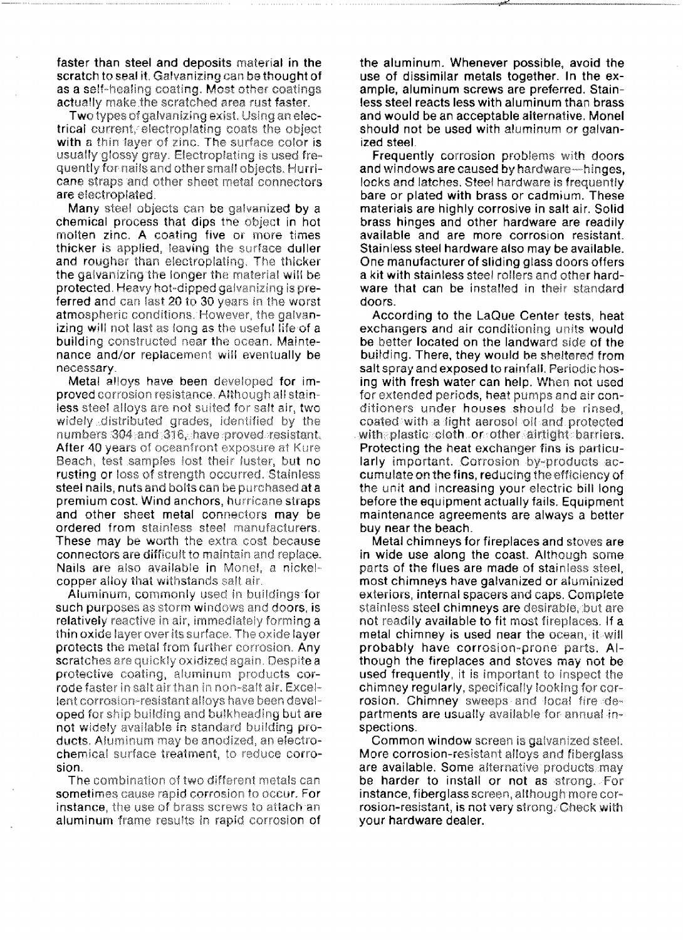faster than steel and deposits material in the scratch to seal it. Galvanizing can be thought of as a self-healing coating. Most other coatings actually make the scratched area rust faster.

Two types of galvanizing exist. Using an electrical current, electroplating coats the object with a thin layer of zinc. The surface color is usually glossy gray. Electroplating is used frequently for nails and other small objects. Hurricane straps and other sheet metal connectors are electroplated.

Many steel objects can be galvanized by a chemical process that dips the object in hot molten zinc. A coating five or more times thicker is applied, leaving the surface duller and rougher than electroplating. The thicker the galvanizing the longer the material will be protected. Heavy hot-dipped galvanizing is preferred and can last 20 to 30 years in the worst atmospheric conditions. However, the galvanizing will not last as long as the useful life of a building constructed near the ocean. Maintenance and/or replacement will eventually be necessary.

Metal alloys have been developed for improved corrosion resistance. Although all stainless steel alloys are not suited for salt air, two widely distributed grades, identified by the numbers 304 and 316, have proved resistant. After 40 years of oceanfront exposure at Kure Beach, test samples lost their luster, but no rusting or loss of strength occurred. Stainless steel nails, nuts and bolts can be purchased at a premium cost. Wind anchors, hurricane straps and other sheet metal connectors may be ordered from stainless steel manufacturers. These may be worth the extra cost because connectors are difficult to maintain and replace. Nails are also available in Monel, a nickelcopper alloy that withstands salt air.

Aluminum, commonly used in buildings for such purposes as storm windows and doors, is relatively reactive in air, immediately forming a thin oxide layer over its surface. The oxide layer protects the metal from further corrosion. Any scratches are quickly oxidized again. Despite a protective coating, aluminum products corrode faster in salt air than in non-salt air. Excellent corrosion-resistant alloys have been developed for ship building and bulkheading but are not widely available in standard building products. Aluminum may be anodized, an electrochemical surface treatment, to reduce corrosion

The combination of two different metals can sometimes cause rapid corrosion to occur. For instance, the use of brass screws to attach an aluminum frame results in rapid corrosion of the aluminum. Whenever possible, avoid the use of dissimilar metals together. In the example, aluminum screws are preferred. Stainless steel reacts less with aluminum than brass and would be an acceptable alternative. Monel should not be used with aluminum or galvanized steel.

**Frequently corrosion problems with doors** and windows are caused by hardware-hinges. locks and latches. Steel hardware is frequently bare or plated with brass or cadmium. These materials are highly corrosive in salt air. Solid brass hinges and other hardware are readily available and are more corrosion resistant. Stainless steel hardware also may be available. One manufacturer of sliding glass doors offers a kit with stainless steel rollers and other hardware that can be installed in their standard doors.

According to the LaQue Center tests, heat exchangers and air conditioning units would be better located on the landward side of the building. There, they would be sheltered from salt spray and exposed to rainfall. Periodic hosing with fresh water can help. When not used for extended periods, heat pumps and air conditioners under houses should be rinsed. coated with a light aerosol oil and protected with plastic cloth or other airtight barriers. Protecting the heat exchanger fins is particularly important. Corrosion by-products accumulate on the fins, reducing the efficiency of the unit and increasing your electric bill long before the equipment actually fails. Equipment maintenance agreements are always a better buy near the beach.

Metal chimneys for fireplaces and stoves are in wide use along the coast. Although some parts of the flues are made of stainless steel, most chimneys have galvanized or aluminized exteriors, internal spacers and caps. Complete stainless steel chimneys are desirable, but are not readily available to fit most fireplaces. If a metal chimney is used near the ocean, it will probably have corrosion-prone parts. Although the fireplaces and stoves may not be used frequently, it is important to inspect the chimney regularly, specifically looking for corrosion. Chimney sweeps and local fire departments are usually available for annual inspections.

Common window screen is galvanized steel. More corrosion-resistant alloys and fiberglass are available. Some alternative products may be harder to install or not as strong. For instance, fiberglass screen, although more corrosion-resistant, is not very strong. Check with your hardware dealer.